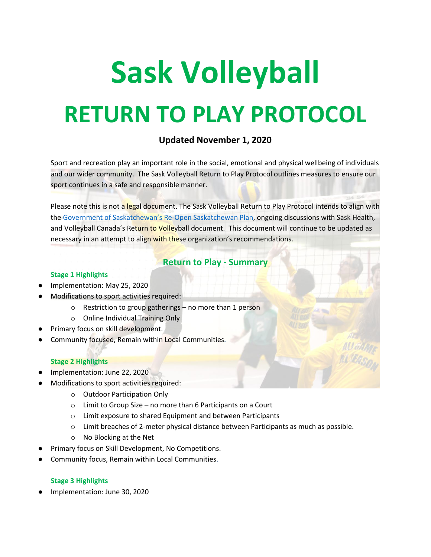# **Sask Volleyball RETURN TO PLAY PROTOCOL**

# **Updated November 1, 2020**

Sport and recreation play an important role in the social, emotional and physical wellbeing of individuals and our wider community. The Sask Volleyball Return to Play Protocol outlines measures to ensure our sport continues in a safe and responsible manner.

Please note this is not a legal document. The Sask Volleyball Return to Play Protocol intends to align with the [Government of Saskatchewan's Re-Open Saskatchewan Plan,](https://www.saskatchewan.ca/government/health-care-administration-and-provider-resources/treatment-procedures-and-guidelines/emerging-public-health-issues/2019-novel-coronavirus/re-open-saskatchewan-plan/re-open-saskatchewan) ongoing discussions with Sask Health, and Volleyball Canada's Return to Volleyball document. This document will continue to be updated as necessary in an attempt to align with these organization's recommendations.

# **Return to Play - Summary**

#### **Stage 1 Highlights**

- Implementation: May 25, 2020
- Modifications to sport activities required:
	- o Restriction to group gatherings no more than 1 person
	- o Online Individual Training Only
- Primary focus on skill development.
- Community focused, Remain within Local Communities.

#### **Stage 2 Highlights**

- Implementation: June 22, 2020
- Modifications to sport activities required:
	- o Outdoor Participation Only
	- o Limit to Group Size no more than 6 Participants on a Court
	- o Limit exposure to shared Equipment and between Participants
	- o Limit breaches of 2-meter physical distance between Participants as much as possible.
	- o No Blocking at the Net
- Primary focus on Skill Development, No Competitions.
- Community focus, Remain within Local Communities.

## **Stage 3 Highlights**

Implementation: June 30, 2020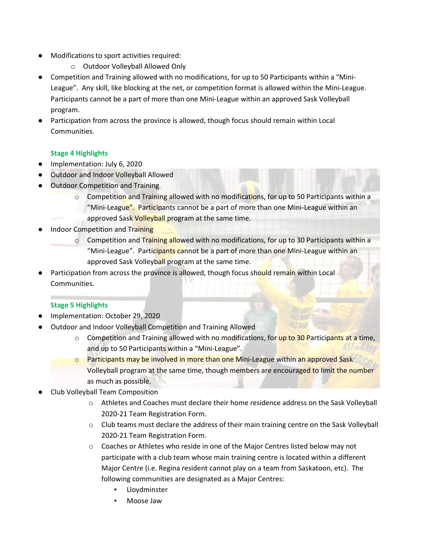- Modifications to sport activities required:
	- o Outdoor Volleyball Allowed Only
- Competition and Training allowed with no modifications, for up to 50 Participants within a "Mini-League". Any skill, like blocking at the net, or competition format is allowed within the Mini-League. Participants cannot be a part of more than one Mini-League within an approved Sask Volleyball program.
- Participation from across the province is allowed, though focus should remain within Local Communities.

## **Stage 4 Highlights**

- Implementation: July 6, 2020
- **Outdoor and Indoor Volleyball Allowed**
- Outdoor Competition and Training
	- o Competition and Training allowed with no modifications, for up to 50 Participants within a "Mini-League". Participants cannot be a part of more than one Mini-League within an
	- approved Sask Volleyball program at the same time.
- **Indoor Competition and Training** 
	- $\circ$  Competition and Training allowed with no modifications, for up to 30 Participants within a "Mini-League". Participants cannot be a part of more than one Mini-League within an approved Sask Volleyball program at the same time.
- Participation from across the province is allowed, though focus should remain within Local Communities.

## **Stage 5 Highlights**

- Implementation: October 29, 2020
- Outdoor and Indoor Volleyball Competition and Training Allowed
	- $\circ$  Competition and Training allowed with no modifications, for up to 30 Participants at a time, and up to 50 Participants within a "Mini-League".
	- o Participants may be involved in more than one Mini-League within an approved Sask Volleyball program at the same time, though members are encouraged to limit the number as much as possible.
- Club Volleyball Team Composition
	- o Athletes and Coaches must declare their home residence address on the Sask Volleyball 2020-21 Team Registration Form.
	- o Club teams must declare the address of their main training centre on the Sask Volleyball 2020-21 Team Registration Form.
	- o Coaches or Athletes who reside in one of the Major Centres listed below may not participate with a club team whose main training centre is located within a different Major Centre (i.e. Regina resident cannot play on a team from Saskatoon, etc). The following communities are designated as a Major Centres:
		- **Lloydminster**
		- Moose Jaw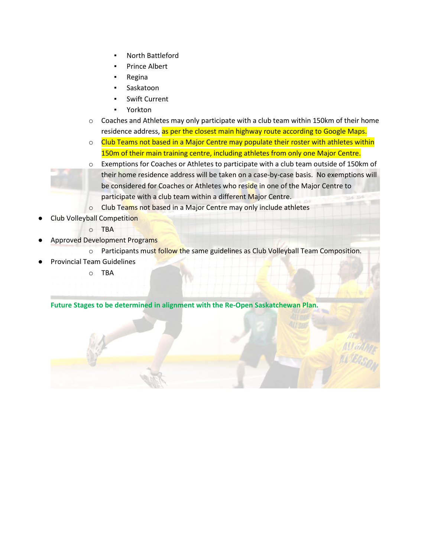- North Battleford
- Prince Albert
- **Regina**
- Saskatoon
- **Swift Current**
- Yorkton
- $\circ$  Coaches and Athletes may only participate with a club team within 150km of their home residence address, as per the closest main highway route according to Google Maps.
- o Club Teams not based in a Major Centre may populate their roster with athletes within 150m of their main training centre, including athletes from only one Major Centre.
- o Exemptions for Coaches or Athletes to participate with a club team outside of 150km of their home residence address will be taken on a case-by-case basis. No exemptions will be considered for Coaches or Athletes who reside in one of the Major Centre to participate with a club team within a different Major Centre.

o Club Teams not based in a Major Centre may only include athletes

- **Club Volleyball Competition** 
	- o TBA
- **Approved Development Programs** 
	- o Participants must follow the same guidelines as Club Volleyball Team Composition.
- **Provincial Team Guidelines** 
	- o TBA

## **Future Stages to be determined in alignment with the Re-Open Saskatchewan Plan.**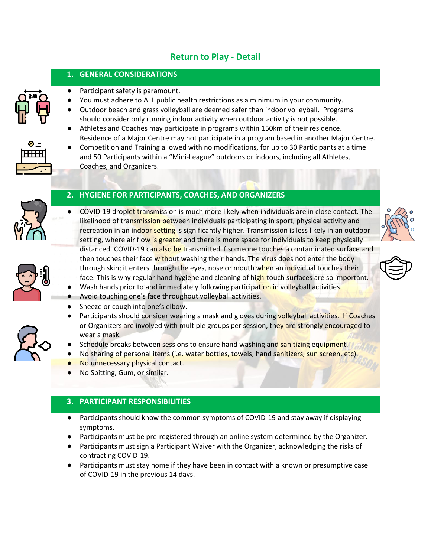# **Return to Play - Detail**

## **1. GENERAL CONSIDERATIONS**

- Participant safety is paramount.
- You must adhere to ALL public health restrictions as a minimum in your community.
- Outdoor beach and grass volleyball are deemed safer than indoor volleyball. Programs should consider only running indoor activity when outdoor activity is not possible.
- Athletes and Coaches may participate in programs within 150km of their residence. Residence of a Major Centre may not participate in a program based in another Major Centre.

Competition and Training allowed with no modifications, for up to 30 Participants at a time



and 50 Participants within a "Mini-League" outdoors or indoors, including all Athletes, Coaches, and Organizers.



# **2. HYGIENE FOR PARTICIPANTS, COACHES, AND ORGANIZERS**

COVID-19 droplet transmission is much more likely when individuals are in close contact. The likelihood of transmission between individuals participating in sport, physical activity and recreation in an indoor setting is significantly higher. Transmission is less likely in an outdoor setting, where air flow is greater and there is more space for individuals to keep physically distanced. COVID-19 can also be transmitted if someone touches a contaminated surface and then touches their face without washing their hands. The virus does not enter the body through skin; it enters through the eyes, nose or mouth when an individual touches their face. This is why regular hand hygiene and cleaning of high-touch surfaces are so important.







- Avoid touching one's face throughout volleyball activities. Sneeze or cough into one's elbow.
- Participants should consider wearing a mask and gloves during volleyball activities. If Coaches or Organizers are involved with multiple groups per session, they are strongly encouraged to wear a mask.
- Schedule breaks between sessions to ensure hand washing and sanitizing equipment.

Wash hands prior to and immediately following participation in volleyball activities.

- No sharing of personal items (i.e. water bottles, towels, hand sanitizers, sun screen, etc).
- No unnecessary physical contact.
- No Spitting, Gum, or similar.

# **3. PARTICIPANT RESPONSIBILITIES**

- Participants should know the common symptoms of COVID-19 and stay away if displaying symptoms.
- Participants must be pre-registered through an online system determined by the Organizer.
- Participants must sign a Participant Waiver with the Organizer, acknowledging the risks of contracting COVID-19.
- Participants must stay home if they have been in contact with a known or presumptive case of COVID-19 in the previous 14 days.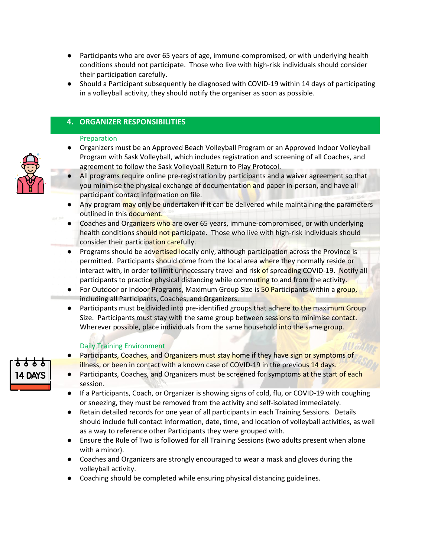- Participants who are over 65 years of age, immune-compromised, or with underlying health conditions should not participate. Those who live with high-risk individuals should consider their participation carefully.
- Should a Participant subsequently be diagnosed with COVID-19 within 14 days of participating in a volleyball activity, they should notify the organiser as soon as possible.

## **4. ORGANIZER RESPONSIBILITIES**

#### Preparation

- Organizers must be an Approved Beach Volleyball Program or an Approved Indoor Volleyball Program with Sask Volleyball, which includes registration and screening of all Coaches, and agreement to follow the Sask Volleyball Return to Play Protocol.
- All programs require online pre-registration by participants and a waiver agreement so that you minimise the physical exchange of documentation and paper in-person, and have all participant contact information on file.
- Any program may only be undertaken if it can be delivered while maintaining the parameters outlined in this document.
- Coaches and Organizers who are over 65 years, immune-compromised, or with underlying health conditions should not participate. Those who live with high-risk individuals should consider their participation carefully.
- Programs should be advertised locally only, although participation across the Province is permitted. Participants should come from the local area where they normally reside or interact with, in order to limit unnecessary travel and risk of spreading COVID-19. Notify all participants to practice physical distancing while commuting to and from the activity.
- For Outdoor or Indoor Programs, Maximum Group Size is 50 Participants within a group, including all Participants, Coaches, and Organizers.
- Participants must be divided into pre-identified groups that adhere to the maximum Group Size. Participants must stay with the same group between sessions to minimise contact. Wherever possible, place individuals from the same household into the same group.

## Daily Training Environment

- Participants, Coaches, and Organizers must stay home if they have sign or symptoms of illness, or been in contact with a known case of COVID-19 in the previous 14 days.
- Participants, Coaches, and Organizers must be screened for symptoms at the start of each session.
- If a Participants, Coach, or Organizer is showing signs of cold, flu, or COVID-19 with coughing or sneezing, they must be removed from the activity and self-isolated immediately.
- Retain detailed records for one year of all participants in each Training Sessions. Details should include full contact information, date, time, and location of volleyball activities, as well as a way to reference other Participants they were grouped with.
- Ensure the Rule of Two is followed for all Training Sessions (two adults present when alone with a minor).
- Coaches and Organizers are strongly encouraged to wear a mask and gloves during the volleyball activity.
- Coaching should be completed while ensuring physical distancing guidelines.



14 DAYS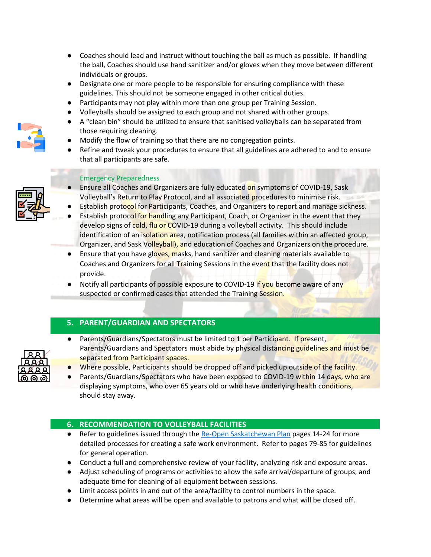- Coaches should lead and instruct without touching the ball as much as possible. If handling the ball, Coaches should use hand sanitizer and/or gloves when they move between different individuals or groups.
- Designate one or more people to be responsible for ensuring compliance with these guidelines. This should not be someone engaged in other critical duties.
- Participants may not play within more than one group per Training Session.
- Volleyballs should be assigned to each group and not shared with other groups.
- A "clean bin" should be utilized to ensure that sanitised volleyballs can be separated from those requiring cleaning.
- Modify the flow of training so that there are no congregation points.
- Refine and tweak your procedures to ensure that all guidelines are adhered to and to ensure that all participants are safe.



## Emergency Preparedness

- Ensure all Coaches and Organizers are fully educated on symptoms of COVID-19, Sask Volleyball's Return to Play Protocol, and all associated procedures to minimise risk.
- Establish protocol for Participants, Coaches, and Organizers to report and manage sickness.
- Establish protocol for handling any Participant, Coach, or Organizer in the event that they develop signs of cold, flu or COVID-19 during a volleyball activity. This should include identification of an isolation area, notification process (all families within an affected group, Organizer, and Sask Volleyball), and education of Coaches and Organizers on the procedure.
- Ensure that you have gloves, masks, hand sanitizer and cleaning materials available to Coaches and Organizers for all Training Sessions in the event that the facility does not provide.
- Notify all participants of possible exposure to COVID-19 if you become aware of any suspected or confirmed cases that attended the Training Session.

## **5. PARENT/GUARDIAN AND SPECTATORS**

- Parents/Guardians/Spectators must be limited to 1 per Participant. If present, Parents/Guardians and Spectators must abide by physical distancing guidelines and must be separated from Participant spaces.
- Where possible, Participants should be dropped off and picked up outside of the facility.
- Parents/Guardians/Spectators who have been exposed to COVID-19 within 14 days, who are displaying symptoms, who over 65 years old or who have underlying health conditions, should stay away.

## **6. RECOMMENDATION TO VOLLEYBALL FACILITIES**

- Refer to guidelines issued through the Re-Open [Saskatchewan](https://www.saskatchewan.ca/government/health-care-administration-and-provider-resources/treatment-procedures-and-guidelines/emerging-public-health-issues/2019-novel-coronavirus/re-open-saskatchewan-plan/re-open-saskatchewan) Plan pages 14-24 for more detailed processes for creating a safe work environment. Refer to pages 79-85 for guidelines for general operation.
- Conduct a full and comprehensive review of your facility, analyzing risk and exposure areas.
- Adjust scheduling of programs or activities to allow the safe arrival/departure of groups, and adequate time for cleaning of all equipment between sessions.
- Limit access points in and out of the area/facility to control numbers in the space.
- Determine what areas will be open and available to patrons and what will be closed off.